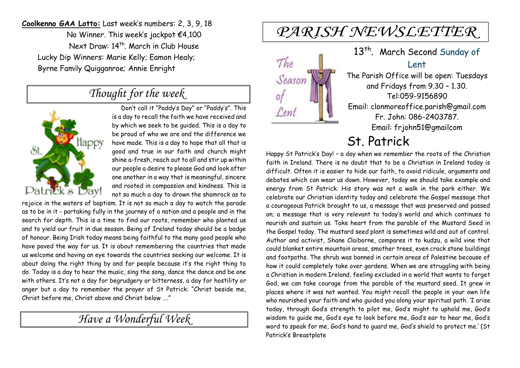**Coolkenno GAA Lotto:** Last week's numbers: 2, 3, 9, 18 No Winner. This week's jackpot €4,100 Next Draw: 14<sup>th</sup>. March in Club House Lucky Dip Winners: Marie Kelly; Eamon Healy; Byrne Family Quigganroe; Annie Enright

## *Thought for the week*



Don't call it "Paddy's Day" or "Paddy's". This is a day to recall the faith we have received and by which we seek to be guided. This is a day to be proud of who we are and the difference we have made. This is a day to hope that all that is good and true in our faith and church might shine a-fresh, reach out to all and stir up within our people a desire to please God and look after one another in a way that is meaningful, sincere and rooted in compassion and kindness. This is not so much a day to drown the shamrock as to

rejoice in the waters of baptism. It is not so much a day to watch the parade as to be in it - partaking fully in the journey of a nation and a people and in the search for depth. This is a time to find our roots, remember who planted us and to yield our fruit in due season. Being of Ireland today should be a badge of honour. Being Irish today means being faithful to the many good people who have paved the way for us. It is about remembering the countries that made us welcome and having an eye towards the countries seeking our welcome. It is about doing the right thing by and for people because it's the right thing to do. Today is a day to hear the music, sing the song, dance the dance and be one with others. It's not a day for begrudgery or bitterness, a day for hostility or anger but a day to remember the prayer of St Patrick: "Christ beside me, Christ before me, Christ above and Christ below …."

*Have a Wonderful Week* 

# PARISH NEWSLETTER



## 13<sup>th</sup>. March Second Sunday of Lent

The Parish Office will be open: Tuesdays and Fridays from 9.30 – 1.30. Tel:059-9156890 Email: clonmoreoffice.parish@gmail.com Fr. John: 086-2403787. Email: frjohn51@gmailcom

## St. Patrick

Happy St Patrick's Day! – a day when we remember the roots of the Christian faith in Ireland. There is no doubt that to be a Christian in Ireland today is difficult. Often it is easier to hide our faith, to avoid ridicule, arguments and debates which can wear us down. However, today we should take example and energy from St Patrick. His story was not a walk in the park either. We celebrate our Christian identity today and celebrate the Gospel message that a courageous Patrick brought to us, a message that was preserved and passed on; a message that is very relevant to today's world and which continues to nourish and sustain us. Take heart from the parable of the Mustard Seed in the Gospel today. The mustard seed plant is sometimes wild and out of control. Author and activist, Shane Claiborne, compares it to kudzu, a wild vine that could blanket entire mountain areas, smother trees, even crack stone buildings and footpaths. The shrub was banned in certain areas of Palestine because of how it could completely take over gardens. When we are struggling with being a Christian in modern Ireland, feeling excluded in a world that wants to forget God, we can take courage from the parable of the mustard seed. It grew in places where it was not wanted. You might recall the people in your own life who nourished your faith and who guided you along your spiritual path. 'I arise today, through God's strength to pilot me, God's might to uphold me, God's wisdom to guide me, God's eye to look before me, God's ear to hear me, God's word to speak for me, God's hand to guard me, God's shield to protect me.' (St Patrick's Breastplate